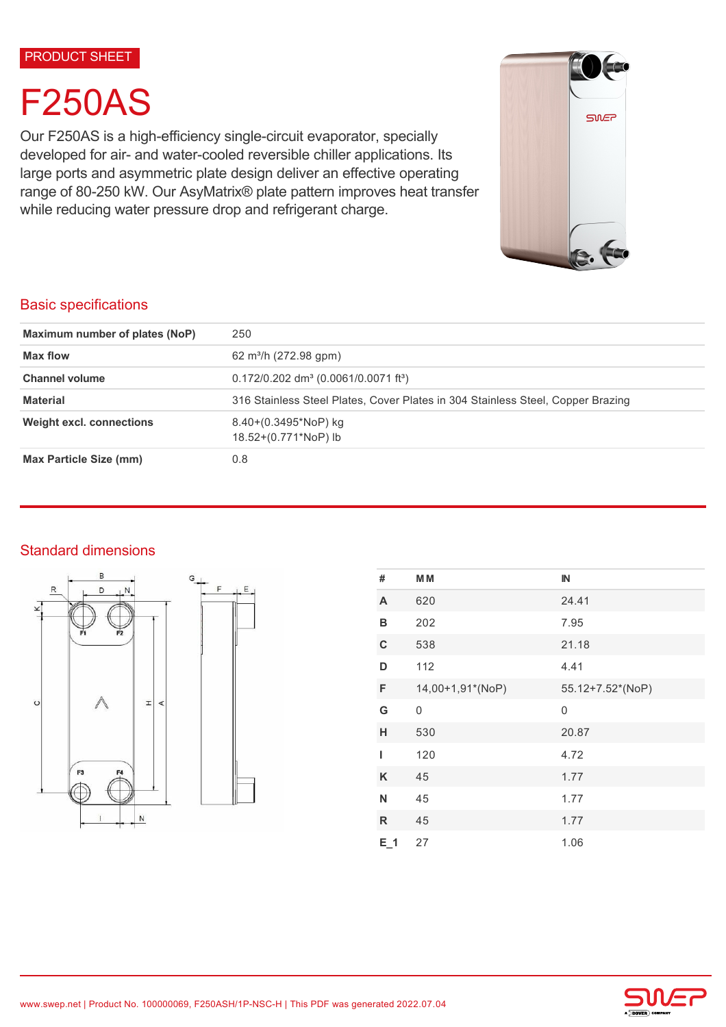#### PRODUCT SHEET

# F250AS

Our F250AS is a high-efficiency single-circuit evaporator, specially developed for air- and water-cooled reversible chiller applications. Its large ports and asymmetric plate design deliver an effective operating range of 80-250 kW. Our AsyMatrix® plate pattern improves heat transfer while reducing water pressure drop and refrigerant charge.



## Basic specifications

| Maximum number of plates (NoP)  | 250                                                                             |  |
|---------------------------------|---------------------------------------------------------------------------------|--|
| <b>Max flow</b>                 | 62 m <sup>3</sup> /h (272.98 gpm)                                               |  |
| <b>Channel volume</b>           | $0.172/0.202$ dm <sup>3</sup> (0.0061/0.0071 ft <sup>3</sup> )                  |  |
| <b>Material</b>                 | 316 Stainless Steel Plates, Cover Plates in 304 Stainless Steel, Copper Brazing |  |
| <b>Weight excl. connections</b> | $8.40+(0.3495*NoP)$ kg<br>18.52+(0.771*NoP) lb                                  |  |
| <b>Max Particle Size (mm)</b>   | 0.8                                                                             |  |

## Standard dimensions



| #            | M M              | IN               |
|--------------|------------------|------------------|
| A            | 620              | 24.41            |
| B            | 202              | 7.95             |
| $\mathbf C$  | 538              | 21.18            |
| D            | 112              | 4.41             |
| F            | 14,00+1,91*(NoP) | 55.12+7.52*(NoP) |
| G            | 0                | 0                |
| н            | 530              | 20.87            |
| ı            | 120              | 4.72             |
| Κ            | 45               | 1.77             |
| N            | 45               | 1.77             |
| $\mathsf{R}$ | 45               | 1.77             |
| $E_1$        | 27               | 1.06             |